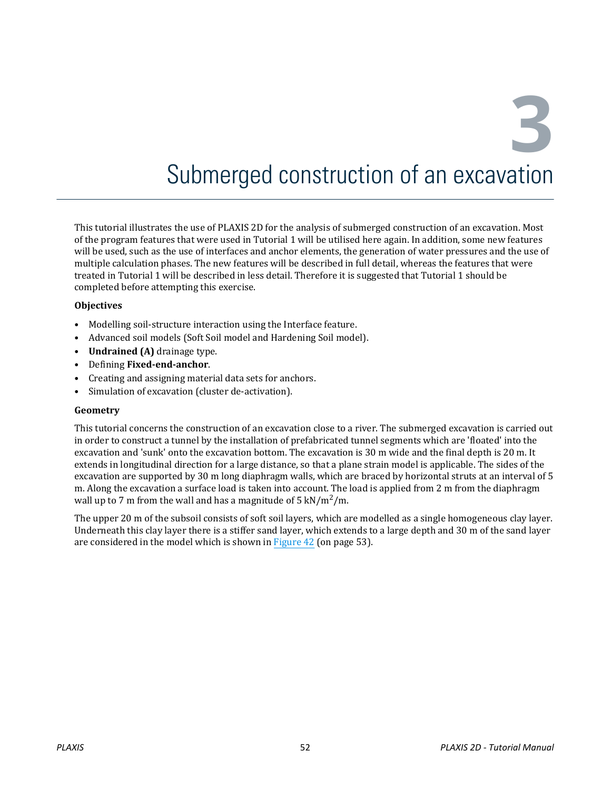**3**

# Submerged construction of an excavation

This tutorial illustrates the use of PLAXIS 2D for the analysis of submerged construction of an excavation. Most of the program features that were used in Tutorial 1 will be utilised here again. In addition, some new features will be used, such as the use of interfaces and anchor elements, the generation of water pressures and the use of multiple calculation phases. The new features will be described in full detail, whereas the features that were treated in Tutorial 1 will be described in less detail. Therefore it is suggested that Tutorial 1 should be completed before attempting this exercise.

### **Objectives**

- Modelling soil-structure interaction using the Interface feature.
- Advanced soil models (Soft Soil model and Hardening Soil model).
- **Undrained (A)** drainage type.
- Defining **Fixed-end-anchor**.
- Creating and assigning material data sets for anchors.
- Simulation of excavation (cluster de-activation).

#### **Geometry**

This tutorial concerns the construction of an excavation close to a river. The submerged excavation is carried out in order to construct a tunnel by the installation of prefabricated tunnel segments which are 'floated' into the excavation and 'sunk' onto the excavation bottom. The excavation is 30 m wide and the final depth is 20 m. It extends in longitudinal direction for a large distance, so that a plane strain model is applicable. The sides of the excavation are supported by 30 m long diaphragm walls, which are braced by horizontal struts at an interval of 5 m. Along the excavation a surface load is taken into account. The load is applied from 2 m from the diaphragm wall up to 7 m from the wall and has a magnitude of 5  $kN/m^2/m$ .

The upper 20 m of the subsoil consists of soft soil layers, which are modelled as a single homogeneous clay layer. Underneath this clay layer there is a stiffer sand layer, which extends to a large depth and 30 m of the sand layer are considered in the model which is shown in [Figure 42](#page-1-0) (on page 53).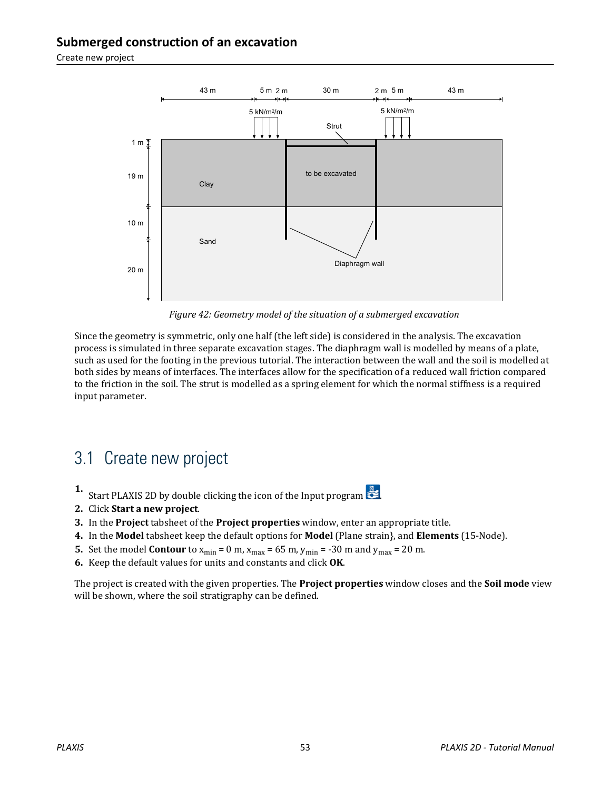<span id="page-1-0"></span>Create new project



*Figure 42: Geometry model of the situation of a submerged excavation*

Since the geometry is symmetric, only one half (the left side) is considered in the analysis. The excavation process is simulated in three separate excavation stages. The diaphragm wall is modelled by means of a plate, such as used for the footing in the previous tutorial. The interaction between the wall and the soil is modelled at both sides by means of interfaces. The interfaces allow for the specification of a reduced wall friction compared to the friction in the soil. The strut is modelled as a spring element for which the normal stiffness is a required input parameter.

## 3.1 Create new project

- **1.** Start PLAXIS 2D by double clicking the icon of the Input program  $\mathbb{Z}$ .
- **2.** Click **Start a new project**.
- **3.** In the **Project** tabsheet of the **Project properties** window, enter an appropriate title.
- **4.** In the **Model** tabsheet keep the default options for **Model** (Plane strain}, and **Elements** (15-Node).
- **5.** Set the model **Contour** to  $x_{\text{min}} = 0$  m,  $x_{\text{max}} = 65$  m,  $y_{\text{min}} = -30$  m and  $y_{\text{max}} = 20$  m.
- **6.** Keep the default values for units and constants and click **OK**.

The project is created with the given properties. The **Project properties** window closes and the **Soil mode** view will be shown, where the soil stratigraphy can be defined.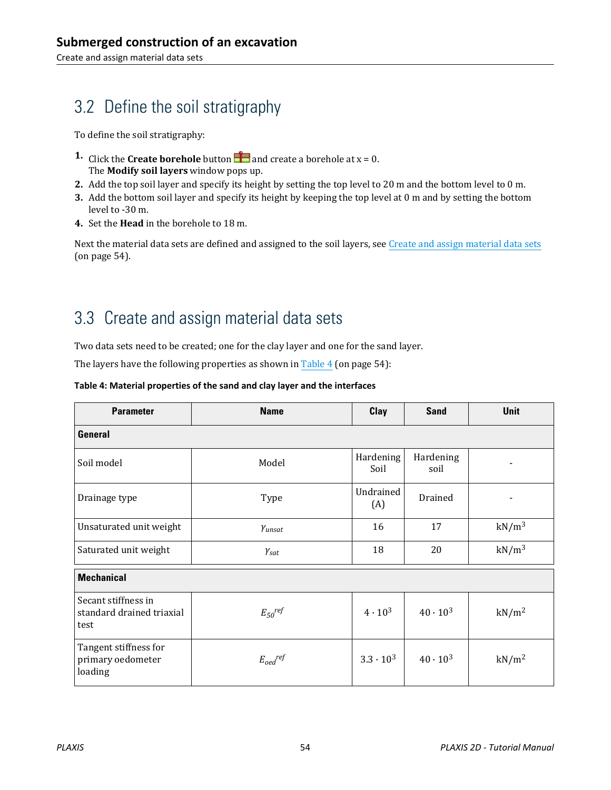## <span id="page-2-0"></span>3.2 Define the soil stratigraphy

To define the soil stratigraphy:

- **1.** Click the **Create borehole** button **a** and create a borehole at  $x = 0$ . The **Modify soil layers** window pops up.
- **2.** Add the top soil layer and specify its height by setting the top level to 20 m and the bottom level to 0 m.
- **3.** Add the bottom soil layer and specify its height by keeping the top level at 0 m and by setting the bottom level to -30 m.
- **4.** Set the **Head** in the borehole to 18 m.

Next the material data sets are defined and assigned to the soil layers, see Create and assign material data sets (on page 54).

## 3.3 Create and assign material data sets

Two data sets need to be created; one for the clay layer and one for the sand layer.

The layers have the following properties as shown in Table 4 (on page 54):

### **Table 4: Material properties of the sand and clay layer and the interfaces**

| <b>Parameter</b>                                         | <b>Name</b>          | Clay              | <b>Sand</b>       | <b>Unit</b>       |  |  |
|----------------------------------------------------------|----------------------|-------------------|-------------------|-------------------|--|--|
| General                                                  |                      |                   |                   |                   |  |  |
| Soil model                                               | Model                | Hardening<br>Soil | Hardening<br>soil |                   |  |  |
| Drainage type                                            | Type                 | Undrained<br>(A)  | Drained           |                   |  |  |
| Unsaturated unit weight                                  | Yunsat               | 16                | 17                | $kN/m^3$          |  |  |
| Saturated unit weight                                    | $\gamma_{\text sat}$ | 18                | 20                | $kN/m^3$          |  |  |
| <b>Mechanical</b>                                        |                      |                   |                   |                   |  |  |
| Secant stiffness in<br>standard drained triaxial<br>test | $E_{50}$ ref         | $4 \cdot 10^3$    | $40 \cdot 10^{3}$ | kN/m <sup>2</sup> |  |  |
| Tangent stiffness for<br>primary oedometer<br>loading    | $E_{oed}^{ref}$      | $3.3 \cdot 10^3$  | $40 \cdot 10^3$   | kN/m <sup>2</sup> |  |  |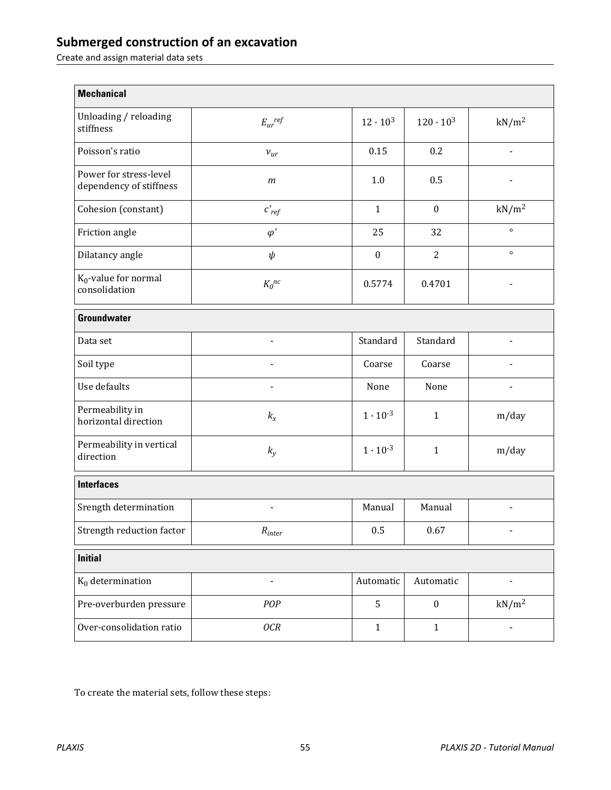Create and assign material data sets

| <b>Mechanical</b>                                 |                              |                   |                    |                   |  |
|---------------------------------------------------|------------------------------|-------------------|--------------------|-------------------|--|
| Unloading / reloading<br>stiffness                | $E_{ur}$ ref                 | $12 \cdot 10^{3}$ | $120 \cdot 10^{3}$ | kN/m <sup>2</sup> |  |
| Poisson's ratio                                   | $v_{ur}$                     | 0.15              | 0.2                |                   |  |
| Power for stress-level<br>dependency of stiffness | $\,m$                        | 1.0               | 0.5                |                   |  |
| Cohesion (constant)                               | $c'_{ref}$                   | $\mathbf{1}$      | $\boldsymbol{0}$   | $kN/m^2$          |  |
| Friction angle                                    | $\varphi'$                   | 25                | 32                 | $\circ$           |  |
| Dilatancy angle                                   | $\psi$                       | $\boldsymbol{0}$  | $\overline{2}$     | $\circ$           |  |
| $K_0$ -value for normal<br>consolidation          | $K_0^{nc}$                   | 0.5774            | 0.4701             |                   |  |
| <b>Groundwater</b>                                |                              |                   |                    |                   |  |
| Data set                                          |                              | Standard          | Standard           |                   |  |
| Soil type                                         |                              | Coarse            | Coarse             |                   |  |
| Use defaults                                      |                              | None              | None               |                   |  |
| Permeability in<br>horizontal direction           | $k_{x}$                      | $1 \cdot 10^{-3}$ | $\mathbf{1}$       | m/day             |  |
| Permeability in vertical<br>direction             | $k_y$                        | $1 \cdot 10^{-3}$ | $\mathbf{1}$       | m/day             |  |
| <b>Interfaces</b>                                 |                              |                   |                    |                   |  |
| Srength determination                             |                              | Manual            | Manual             |                   |  |
| Strength reduction factor                         | $\mathcal{R}_{inter}$        | 0.5               | 0.67               |                   |  |
| <b>Initial</b>                                    |                              |                   |                    |                   |  |
| $K_0$ determination                               | $\qquad \qquad \blacksquare$ | Automatic         | Automatic          |                   |  |
| Pre-overburden pressure                           | POP                          | 5                 | $\boldsymbol{0}$   | $kN/m^2$          |  |
| Over-consolidation ratio                          | <b>OCR</b>                   | $\mathbf 1$       | $1\,$              |                   |  |

To create the material sets, follow these steps: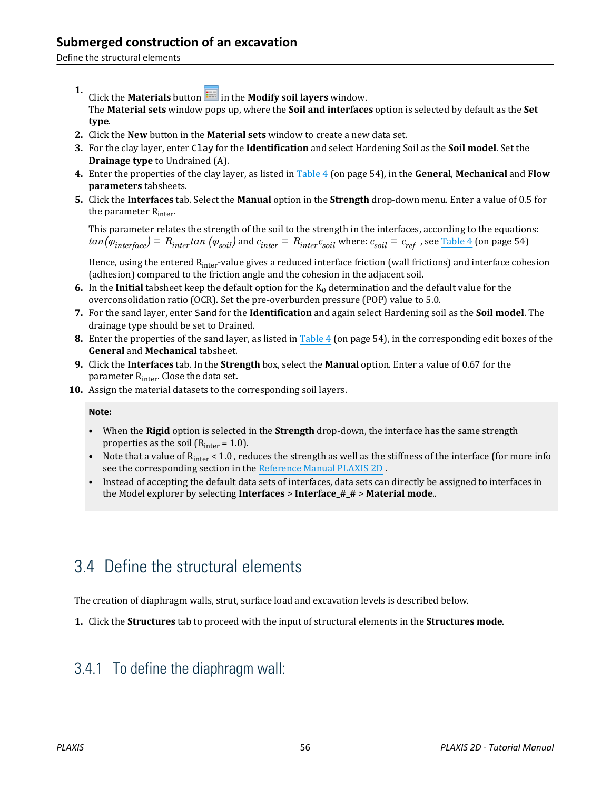Define the structural elements

- **1.** Click the **Materials** button  $\frac{1}{2}$  in the **Modify soil layers** window. The **Material sets** window pops up, where the **Soil and interfaces** option is selected by default as the **Set type**.
- **2.** Click the **New** button in the **Material sets** window to create a new data set.
- **3.** For the clay layer, enter Clay for the **Identification** and select Hardening Soil as the **Soil model**. Set the **Drainage type** to Undrained (A).
- **4.** Enter the properties of the clay layer, as listed in [Table 4](#page-2-0) (on page 54), in the **General**, **Mechanical** and **Flow parameters** tabsheets.
- **5.** Click the **Interfaces** tab. Select the **Manual** option in the **Strength** drop-down menu. Enter a value of 0.5 for the parameter  $R_{inter}$ .

This parameter relates the strength of the soil to the strength in the interfaces, according to the equations:  $tan(\varphi_{interface})$  =  $R_{inter}tan\ (\varphi_{soil})$  and  $c_{inter}$  =  $R_{inter}c_{soil}$  where:  $c_{soil}$  =  $c_{ref}$  , see <u>Table 4</u> (on page 54)

Hence, using the entered R<sub>inter</sub>-value gives a reduced interface friction (wall frictions) and interface cohesion (adhesion) compared to the friction angle and the cohesion in the adjacent soil.

- **6.** In the **Initial** tabsheet keep the default option for the  $K_0$  determination and the default value for the overconsolidation ratio (OCR). Set the pre-overburden pressure (POP) value to 5.0.
- **7.** For the sand layer, enter Sand for the **Identification** and again select Hardening soil as the **Soil model**. The drainage type should be set to Drained.
- **8.** Enter the properties of the sand layer, as listed in [Table 4](#page-2-0) (on page 54), in the corresponding edit boxes of the **General** and **Mechanical** tabsheet.
- **9.** Click the **Interfaces** tab. In the **Strength** box, select the **Manual** option. Enter a value of 0.67 for the parameter R<sub>inter</sub>. Close the data set.
- **10.** Assign the material datasets to the corresponding soil layers.

**Note:**

- When the **Rigid** option is selected in the **Strength** drop-down, the interface has the same strength properties as the soil ( $R<sub>inter</sub> = 1.0$ ).
- Note that a value of  $R_{inter}$  < 1.0, reduces the strength as well as the stiffness of the interface (for more info see the corresponding section in the Reference Manual PLAXIS 2D .
- Instead of accepting the default data sets of interfaces, data sets can directly be assigned to interfaces in the Model explorer by selecting **Interfaces** > **Interface\_#\_#** > **Material mode**..

## 3.4 Define the structural elements

The creation of diaphragm walls, strut, surface load and excavation levels is described below.

**1.** Click the **Structures** tab to proceed with the input of structural elements in the **Structures mode**.

### 3.4.1 To define the diaphragm wall: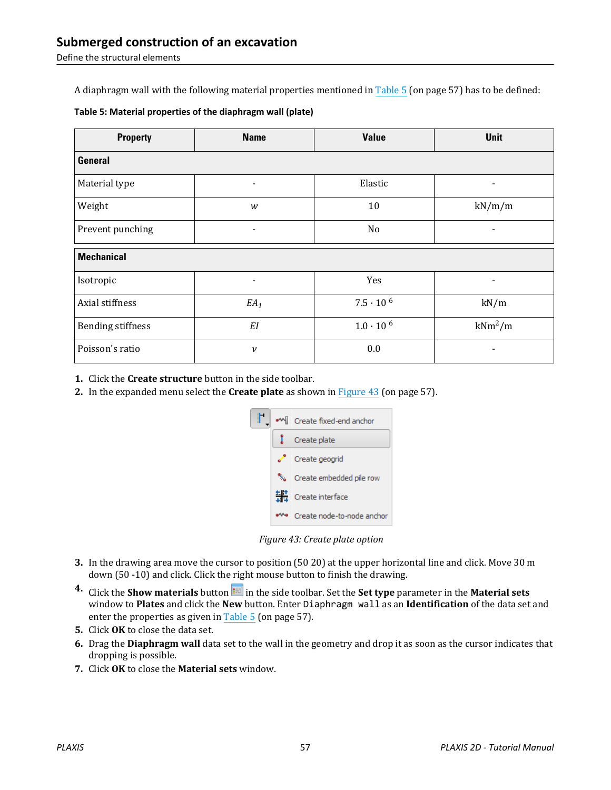Define the structural elements

A diaphragm wall with the following material properties mentioned in Table 5 (on page 57) has to be defined:

| <b>Property</b>          | <b>Name</b>                  | <b>Value</b>       | Unit                     |  |  |  |
|--------------------------|------------------------------|--------------------|--------------------------|--|--|--|
| <b>General</b>           |                              |                    |                          |  |  |  |
| Material type            | $\overline{\phantom{a}}$     | Elastic            | $\overline{\phantom{a}}$ |  |  |  |
| Weight                   | W                            | 10                 | kN/m/m                   |  |  |  |
| Prevent punching         | $\qquad \qquad \blacksquare$ | N <sub>o</sub>     | $\blacksquare$           |  |  |  |
| <b>Mechanical</b>        |                              |                    |                          |  |  |  |
| Isotropic                |                              | Yes                |                          |  |  |  |
| Axial stiffness          | $EA_1$                       | $7.5 \cdot 10^{6}$ | kN/m                     |  |  |  |
| <b>Bending stiffness</b> | EI                           | $1.0 \cdot 10^{6}$ | $kNm^2/m$                |  |  |  |
| Poisson's ratio          | $\boldsymbol{\nu}$           | 0.0                |                          |  |  |  |

**1.** Click the **Create structure** button in the side toolbar.

**2.** In the expanded menu select the **Create plate** as shown in Figure 43 (on page 57).



*Figure 43: Create plate option*

- **3.** In the drawing area move the cursor to position (50 20) at the upper horizontal line and click. Move 30 m down (50 -10) and click. Click the right mouse button to finish the drawing.
- **4.** Click the **Show materials** button in the side toolbar. Set the **Set type** parameter in the **Material sets** window to **Plates** and click the **New** button. Enter Diaphragm wall as an **Identification** of the data set and enter the properties as given in Table 5 (on page 57).
- **5.** Click **OK** to close the data set.
- **6.** Drag the **Diaphragm wall** data set to the wall in the geometry and drop it as soon as the cursor indicates that dropping is possible.
- **7.** Click **OK** to close the **Material sets** window.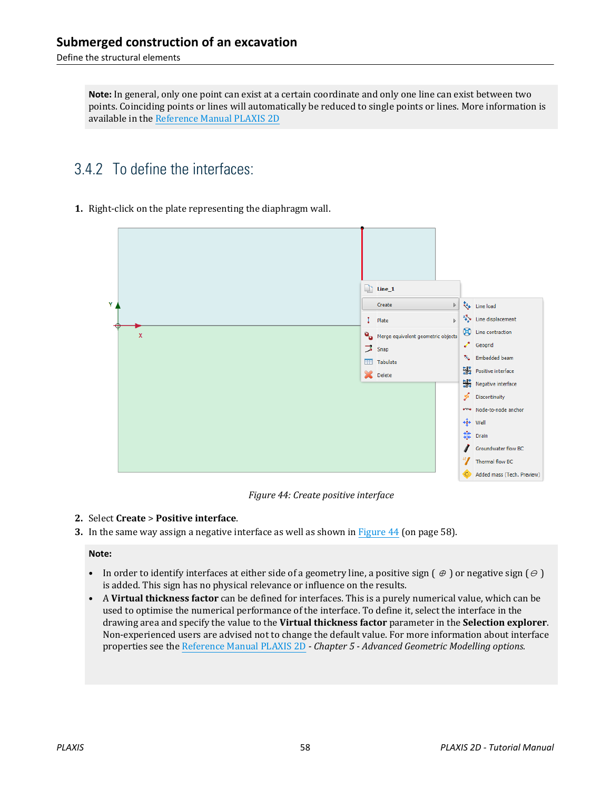Define the structural elements

**Note:** In general, only one point can exist at a certain coordinate and only one line can exist between two points. Coinciding points or lines will automatically be reduced to single points or lines. More information is available in the Reference Manual PLAXIS 2D

## 3.4.2 To define the interfaces:

### **1.** Right-click on the plate representing the diaphragm wall.



*Figure 44: Create positive interface*

#### **2.** Select **Create** > **Positive interface**.

**3.** In the same way assign a negative interface as well as shown in Figure 44 (on page 58).

#### **Note:**

- In order to identify interfaces at either side of a geometry line, a positive sign  $(\theta)$  or negative sign  $(\theta)$ is added. This sign has no physical relevance or influence on the results.
- A **Virtual thickness factor** can be defined for interfaces. This is a purely numerical value, which can be used to optimise the numerical performance of the interface. To define it, select the interface in the drawing area and specify the value to the **Virtual thickness factor** parameter in the **Selection explorer**. Non-experienced users are advised not to change the default value. For more information about interface properties see the Reference Manual PLAXIS 2D *- Chapter 5 - Advanced Geometric Modelling options.*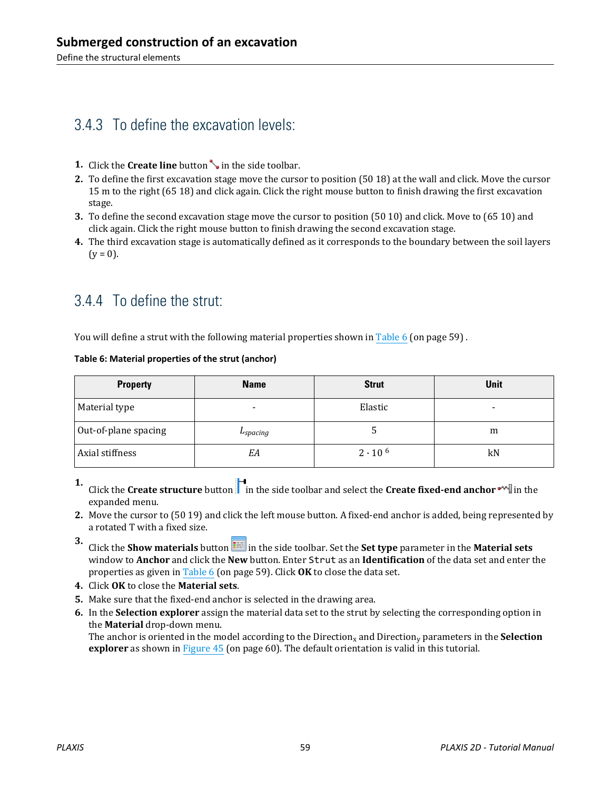## 3.4.3 To define the excavation levels:

- **1.** Click the **Create line** button in the side toolbar.
- **2.** To define the first excavation stage move the cursor to position (50 18) at the wall and click. Move the cursor 15 m to the right (65 18) and click again. Click the right mouse button to finish drawing the first excavation stage.
- **3.** To define the second excavation stage move the cursor to position (50 10) and click. Move to (65 10) and click again. Click the right mouse button to finish drawing the second excavation stage.
- **4.** The third excavation stage is automatically defined as it corresponds to the boundary between the soil layers  $(y = 0)$ .

## 3.4.4 To define the strut:

You will define a strut with the following material properties shown in Table 6 (on page 59).

### **Table 6: Material properties of the strut (anchor)**

| <b>Property</b>      | <b>Name</b>   | <b>Strut</b>     | <b>Unit</b> |
|----------------------|---------------|------------------|-------------|
| Material type        |               | Elastic          | $\,$        |
| Out-of-plane spacing | $L_{spacing}$ | ت                | m           |
| Axial stiffness      | EA            | $2 \cdot 10^{6}$ | kN          |

**1.** Click the **Create structure** button in the side toolbar and select the **Create fixed-end anchor**  $\blacksquare$  in the expanded menu.

- **2.** Move the cursor to (50 19) and click the left mouse button. A fixed-end anchor is added, being represented by a rotated T with a fixed size.
- **3.** Click the **Show materials** button **in the side toolbar.** Set the **Set type** parameter in the **Material sets** window to **Anchor** and click the **New** button. Enter Strut as an **Identification** of the data set and enter the properties as given in Table 6 (on page 59). Click **OK** to close the data set.
- **4.** Click **OK** to close the **Material sets**.
- **5.** Make sure that the fixed-end anchor is selected in the drawing area.
- **6.** In the **Selection explorer** assign the material data set to the strut by selecting the corresponding option in the **Material** drop-down menu.

The anchor is oriented in the model according to the Direction<sub>x</sub> and Direction<sub>y</sub> parameters in the **Selection explorer** as shown in [Figure 45](#page-8-0) (on page 60). The default orientation is valid in this tutorial.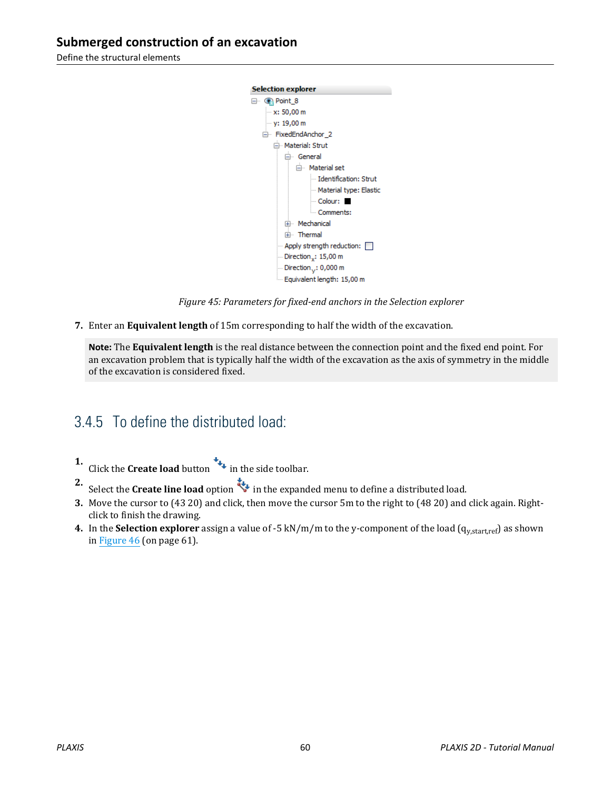<span id="page-8-0"></span>Define the structural elements



*Figure 45: Parameters for fixed-end anchors in the Selection explorer*

**7.** Enter an **Equivalent length** of 15m corresponding to half the width of the excavation.

**Note:** The **Equivalent length** is the real distance between the connection point and the fixed end point. For an excavation problem that is typically half the width of the excavation as the axis of symmetry in the middle of the excavation is considered fixed.

### 3.4.5 To define the distributed load:

- **1.** Click the **Create load** button  $\mathbf{t}_+$  in the side toolbar.
- **2.** Select the **Create line load** option in the expanded menu to define a distributed load.
- **3.** Move the cursor to (43 20) and click, then move the cursor 5m to the right to (48 20) and click again. Rightclick to finish the drawing.
- **4.** In the **Selection explorer** assign a value of -5 kN/m/m to the y-component of the load (q<sub>v,start,ref</sub>) as shown in [Figure 46](#page-9-0) (on page 61).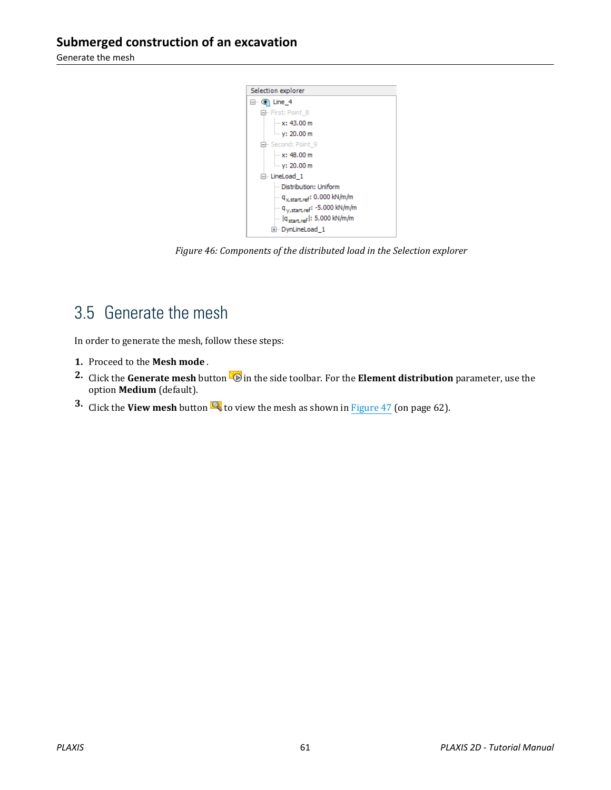<span id="page-9-0"></span>Generate the mesh



*Figure 46: Components of the distributed load in the Selection explorer*

## 3.5 Generate the mesh

In order to generate the mesh, follow these steps:

- **1.** Proceed to the **Mesh mode** .
- **2.** Click the **Generate mesh** button **in** in the side toolbar. For the **Element distribution** parameter, use the option **Medium** (default).
- **3.** Click the **View mesh** button **th** to view the mesh as shown in **Figure 47** (on page 62).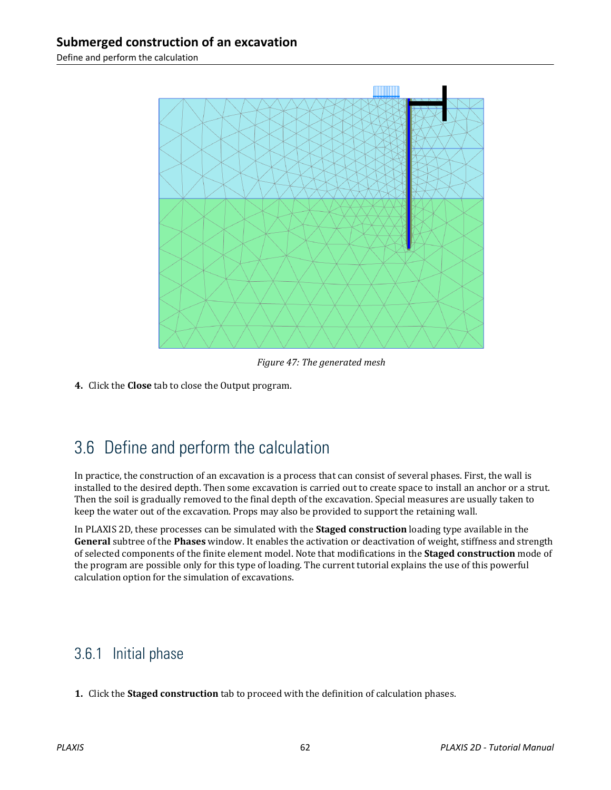<span id="page-10-0"></span>Define and perform the calculation



*Figure 47: The generated mesh*

**4.** Click the **Close** tab to close the Output program.

## 3.6 Define and perform the calculation

In practice, the construction of an excavation is a process that can consist of several phases. First, the wall is installed to the desired depth. Then some excavation is carried out to create space to install an anchor or a strut. Then the soil is gradually removed to the final depth of the excavation. Special measures are usually taken to keep the water out of the excavation. Props may also be provided to support the retaining wall.

In PLAXIS 2D, these processes can be simulated with the **Staged construction** loading type available in the **General** subtree of the **Phases** window. It enables the activation or deactivation of weight, stiffness and strength of selected components of the finite element model. Note that modifications in the **Staged construction** mode of the program are possible only for this type of loading. The current tutorial explains the use of this powerful calculation option for the simulation of excavations.

## 3.6.1 Initial phase

**1.** Click the **Staged construction** tab to proceed with the definition of calculation phases.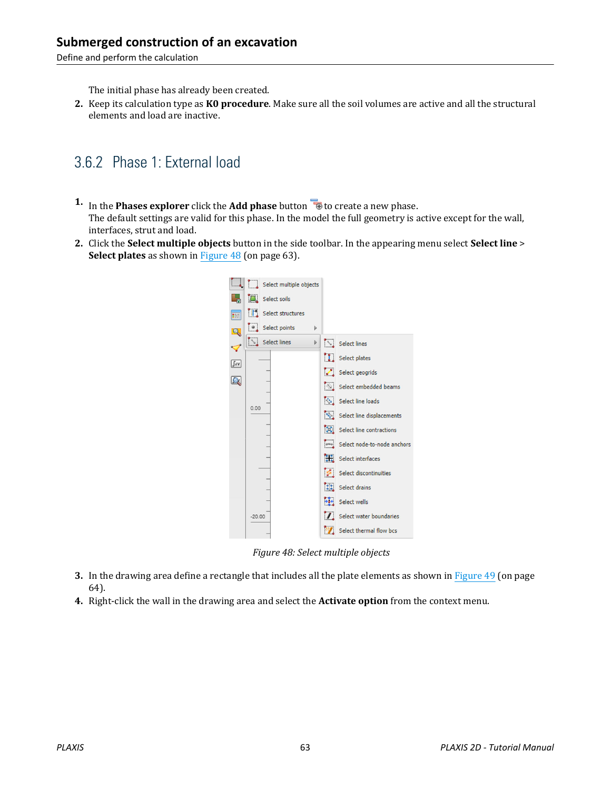Define and perform the calculation

The initial phase has already been created.

**2.** Keep its calculation type as **K0 procedure**. Make sure all the soil volumes are active and all the structural elements and load are inactive.

## 3.6.2 Phase 1: External load

- **1.** In the **Phases explorer** click the **Add phase** button **the creater a new phase.** The default settings are valid for this phase. In the model the full geometry is active except for the wall, interfaces, strut and load.
- **2.** Click the **Select multiple objects** button in the side toolbar. In the appearing menu select **Select line** > **Select plates** as shown in Figure 48 (on page 63).



*Figure 48: Select multiple objects*

- **3.** In the drawing area define a rectangle that includes all the plate elements as shown in [Figure 49](#page-12-0) (on page 64).
- **4.** Right-click the wall in the drawing area and select the **Activate option** from the context menu.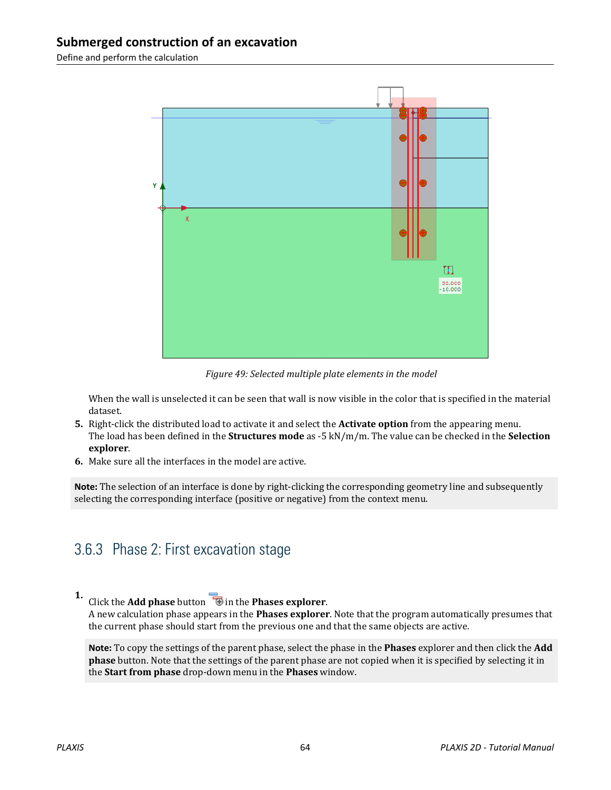<span id="page-12-0"></span>Define and perform the calculation



*Figure 49: Selected multiple plate elements in the model*

When the wall is unselected it can be seen that wall is now visible in the color that is specified in the material dataset.

- **5.** Right-click the distributed load to activate it and select the **Activate option** from the appearing menu. The load has been defined in the **Structures mode** as -5 kN/m/m. The value can be checked in the **Selection explorer**.
- **6.** Make sure all the interfaces in the model are active.

**Note:** The selection of an interface is done by right-clicking the corresponding geometry line and subsequently selecting the corresponding interface (positive or negative) from the context menu.

### 3.6.3 Phase 2: First excavation stage

#### **1.** Click the **Add phase** button **in** the **Phases explorer**.

A new calculation phase appears in the **Phases explorer**. Note that the program automatically presumes that the current phase should start from the previous one and that the same objects are active.

**Note:** To copy the settings of the parent phase, select the phase in the **Phases** explorer and then click the **Add phase** button. Note that the settings of the parent phase are not copied when it is specified by selecting it in the **Start from phase** drop-down menu in the **Phases** window.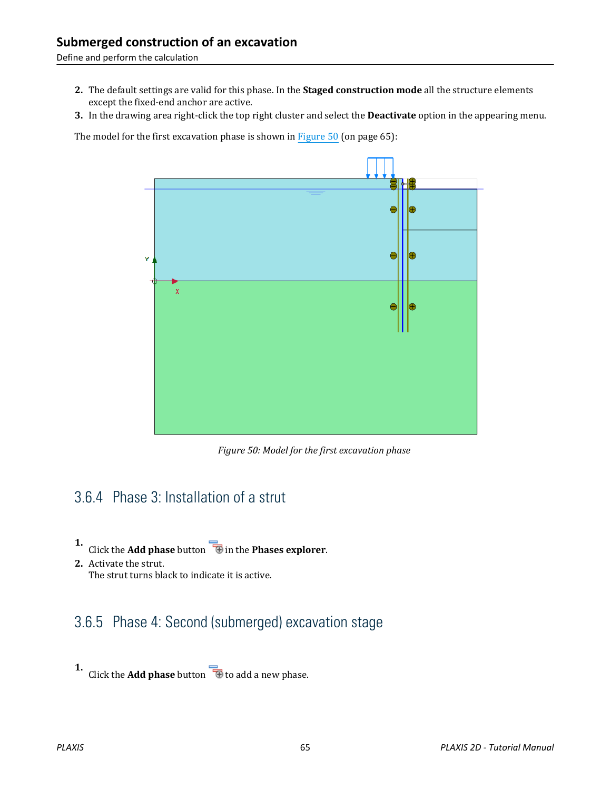Define and perform the calculation

- **2.** The default settings are valid for this phase. In the **Staged construction mode** all the structure elements except the fixed-end anchor are active.
- **3.** In the drawing area right-click the top right cluster and select the **Deactivate** option in the appearing menu.

The model for the first excavation phase is shown in Figure 50 (on page 65):



*Figure 50: Model for the first excavation phase*

### 3.6.4 Phase 3: Installation of a strut

- **1.** Click the **Add phase** button **in** the **Phases explorer**.
- **2.** Activate the strut. The strut turns black to indicate it is active.

### 3.6.5 Phase 4: Second (submerged) excavation stage

**1.** Click the **Add phase** button **the add a** new phase.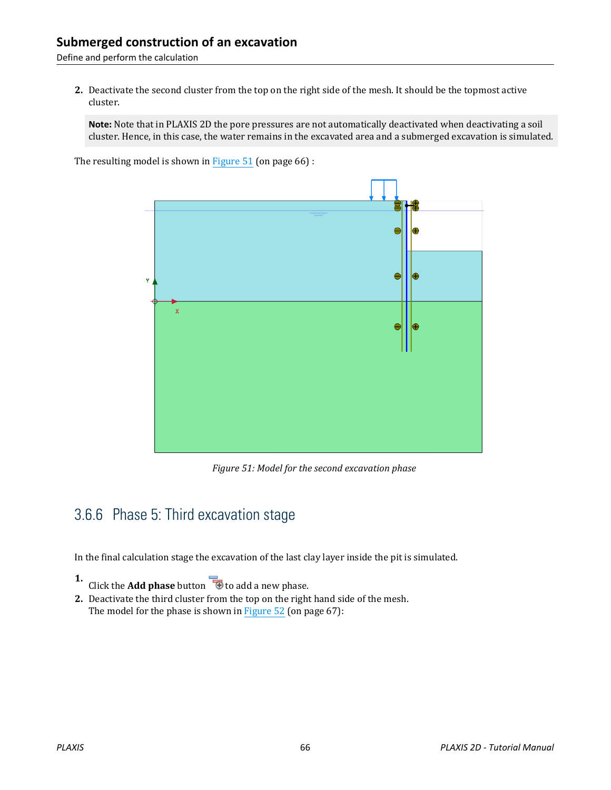Define and perform the calculation

**2.** Deactivate the second cluster from the top on the right side of the mesh. It should be the topmost active cluster.

**Note:** Note that in PLAXIS 2D the pore pressures are not automatically deactivated when deactivating a soil cluster. Hence, in this case, the water remains in the excavated area and a submerged excavation is simulated.

The resulting model is shown in Figure 51 (on page 66) :



*Figure 51: Model for the second excavation phase*

## 3.6.6 Phase 5: Third excavation stage

In the final calculation stage the excavation of the last clay layer inside the pit is simulated.

**1.** Click the **Add phase** button **to a** to add a new phase.

**2.** Deactivate the third cluster from the top on the right hand side of the mesh. The model for the phase is shown in [Figure 52](#page-15-0) (on page 67):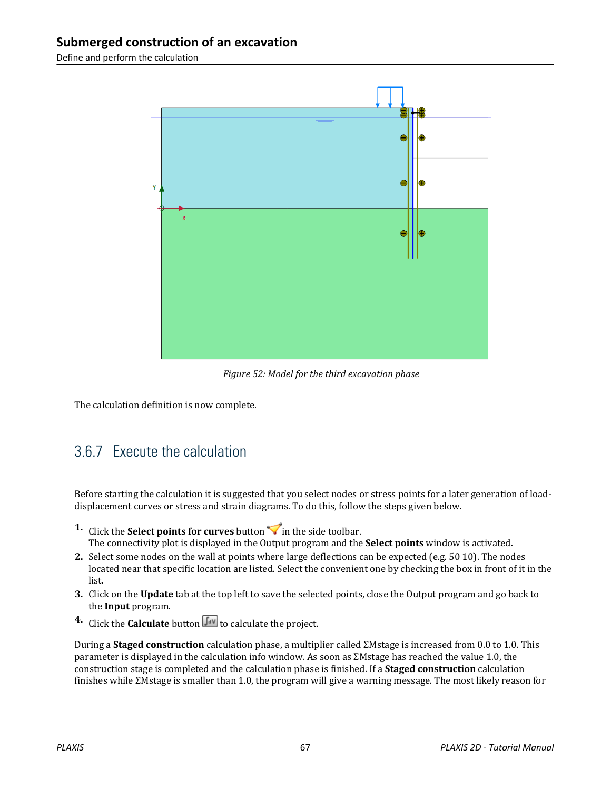<span id="page-15-0"></span>Define and perform the calculation



*Figure 52: Model for the third excavation phase*

The calculation definition is now complete.

## 3.6.7 Execute the calculation

Before starting the calculation it is suggested that you select nodes or stress points for a later generation of loaddisplacement curves or stress and strain diagrams. To do this, follow the steps given below.

- **1.** Click the **Select points for curves** button  $\triangledown$  in the side toolbar. The connectivity plot is displayed in the Output program and the **Select points** window is activated.
- **2.** Select some nodes on the wall at points where large deflections can be expected (e.g. 50 10). The nodes located near that specific location are listed. Select the convenient one by checking the box in front of it in the list.
- **3.** Click on the **Update** tab at the top left to save the selected points, close the Output program and go back to the **Input** program.
- **4.** Click the **Calculate** button  $\sqrt{\int_{0}^{4V}}$  to calculate the project.

During a **Staged construction** calculation phase, a multiplier called ΣMstage is increased from 0.0 to 1.0. This parameter is displayed in the calculation info window. As soon as ΣMstage has reached the value 1.0, the construction stage is completed and the calculation phase is finished. If a **Staged construction** calculation finishes while ΣMstage is smaller than 1.0, the program will give a warning message. The most likely reason for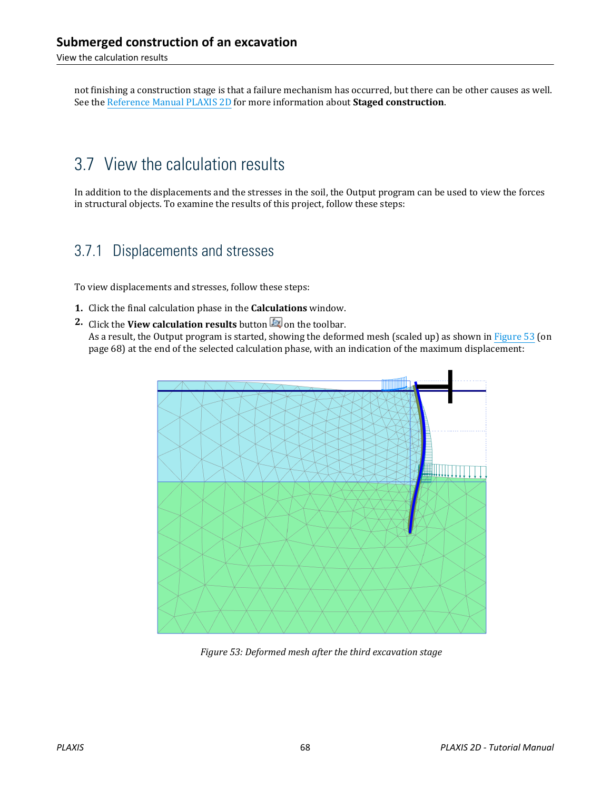View the calculation results

not finishing a construction stage is that a failure mechanism has occurred, but there can be other causes as well. See the Reference Manual PLAXIS 2D for more information about **Staged construction**.

## 3.7 View the calculation results

In addition to the displacements and the stresses in the soil, the Output program can be used to view the forces in structural objects. To examine the results of this project, follow these steps:

## 3.7.1 Displacements and stresses

To view displacements and stresses, follow these steps:

- **1.** Click the final calculation phase in the **Calculations** window.
- **2.** Click the **View calculation results** button **on** the toolbar. As a result, the Output program is started, showing the deformed mesh (scaled up) as shown in Figure 53 (on page 68) at the end of the selected calculation phase, with an indication of the maximum displacement:



*Figure 53: Deformed mesh after the third excavation stage*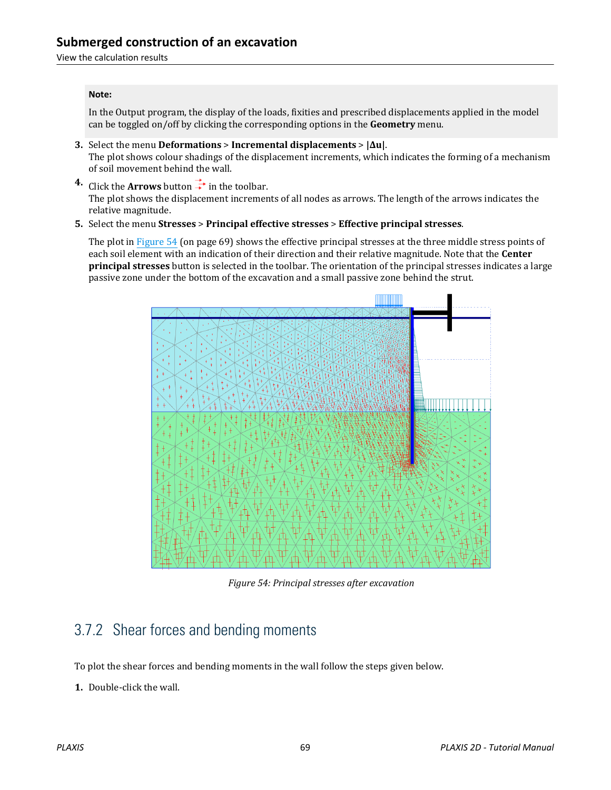#### **Note:**

In the Output program, the display of the loads, fixities and prescribed displacements applied in the model can be toggled on/off by clicking the corresponding options in the **Geometry** menu.

- **3.** Select the menu **Deformations** > **Incremental displacements** > **|Δu|**. The plot shows colour shadings of the displacement increments, which indicates the forming of a mechanism of soil movement behind the wall.
- **4.** Click the **Arrows** button  $\Rightarrow$  in the toolbar. The plot shows the displacement increments of all nodes as arrows. The length of the arrows indicates the relative magnitude.
- **5.** Select the menu **Stresses** > **Principal effective stresses** > **Effective principal stresses**.

The plot in Figure 54 (on page 69) shows the effective principal stresses at the three middle stress points of each soil element with an indication of their direction and their relative magnitude. Note that the **Center principal stresses** button is selected in the toolbar. The orientation of the principal stresses indicates a large passive zone under the bottom of the excavation and a small passive zone behind the strut.



*Figure 54: Principal stresses after excavation*

## 3.7.2 Shear forces and bending moments

To plot the shear forces and bending moments in the wall follow the steps given below.

**1.** Double-click the wall.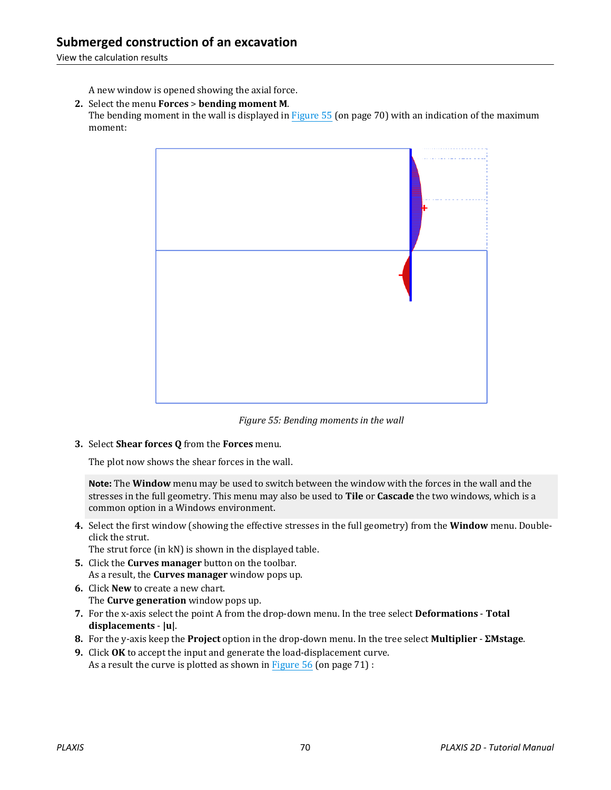A new window is opened showing the axial force.

**2.** Select the menu **Forces** > **bending moment M**. The bending moment in the wall is displayed in Figure 55 (on page 70) with an indication of the maximum moment:



*Figure 55: Bending moments in the wall*

**3.** Select **Shear forces Q** from the **Forces** menu.

The plot now shows the shear forces in the wall.

**Note:** The **Window** menu may be used to switch between the window with the forces in the wall and the stresses in the full geometry. This menu may also be used to **Tile** or **Cascade** the two windows, which is a common option in a Windows environment.

**4.** Select the first window (showing the effective stresses in the full geometry) from the **Window** menu. Doubleclick the strut.

The strut force (in kN) is shown in the displayed table.

- **5.** Click the **Curves manager** button on the toolbar. As a result, the **Curves manager** window pops up.
- **6.** Click **New** to create a new chart. The **Curve generation** window pops up.
- **7.** For the x-axis select the point A from the drop-down menu. In the tree select **Deformations Total displacements** - **|u|**.
- **8.** For the y-axis keep the **Project** option in the drop-down menu. In the tree select **Multiplier ΣMstage**.
- **9.** Click **OK** to accept the input and generate the load-displacement curve. As a result the curve is plotted as shown in Figure  $56$  (on page  $71$ ) :